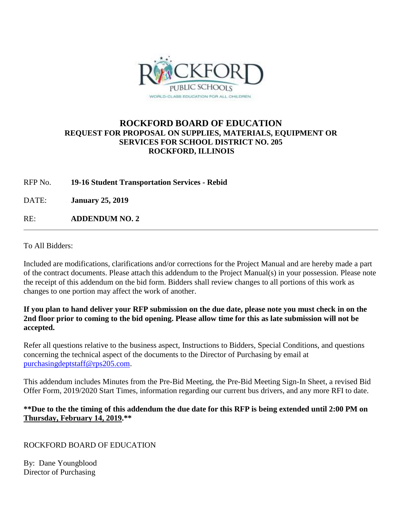

## **ROCKFORD BOARD OF EDUCATION REQUEST FOR PROPOSAL ON SUPPLIES, MATERIALS, EQUIPMENT OR SERVICES FOR SCHOOL DISTRICT NO. 205 ROCKFORD, ILLINOIS**

RFP No. **19-16 Student Transportation Services - Rebid**

DATE: **January 25, 2019**

RE: **ADDENDUM NO. 2**

To All Bidders:

Included are modifications, clarifications and/or corrections for the Project Manual and are hereby made a part of the contract documents. Please attach this addendum to the Project Manual(s) in your possession. Please note the receipt of this addendum on the bid form. Bidders shall review changes to all portions of this work as changes to one portion may affect the work of another.

**If you plan to hand deliver your RFP submission on the due date, please note you must check in on the 2nd floor prior to coming to the bid opening. Please allow time for this as late submission will not be accepted.**

Refer all questions relative to the business aspect, Instructions to Bidders, Special Conditions, and questions concerning the technical aspect of the documents to the Director of Purchasing by email at [purchasingdeptstaff@rps205.com.](mailto:purchasingdeptstaff@rps205.com)

This addendum includes Minutes from the Pre-Bid Meeting, the Pre-Bid Meeting Sign-In Sheet, a revised Bid Offer Form, 2019/2020 Start Times, information regarding our current bus drivers, and any more RFI to date.

**\*\*Due to the the timing of this addendum the due date for this RFP is being extended until 2:00 PM on Thursday, February 14, 2019.\*\***

ROCKFORD BOARD OF EDUCATION

By: Dane Youngblood Director of Purchasing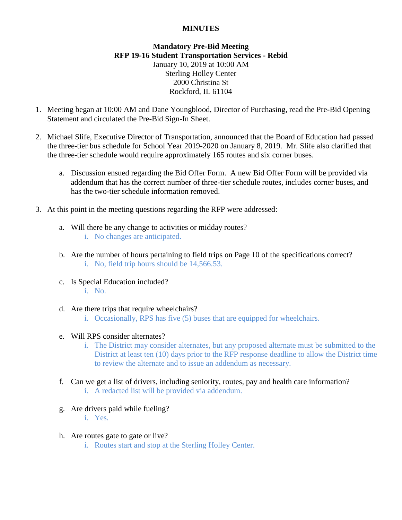## **MINUTES**

## **Mandatory Pre-Bid Meeting RFP 19-16 Student Transportation Services - Rebid** January 10, 2019 at 10:00 AM Sterling Holley Center 2000 Christina St Rockford, IL 61104

- 1. Meeting began at 10:00 AM and Dane Youngblood, Director of Purchasing, read the Pre-Bid Opening Statement and circulated the Pre-Bid Sign-In Sheet.
- 2. Michael Slife, Executive Director of Transportation, announced that the Board of Education had passed the three-tier bus schedule for School Year 2019-2020 on January 8, 2019. Mr. Slife also clarified that the three-tier schedule would require approximately 165 routes and six corner buses.
	- a. Discussion ensued regarding the Bid Offer Form. A new Bid Offer Form will be provided via addendum that has the correct number of three-tier schedule routes, includes corner buses, and has the two-tier schedule information removed.
- 3. At this point in the meeting questions regarding the RFP were addressed:
	- a. Will there be any change to activities or midday routes? i. No changes are anticipated.
	- b. Are the number of hours pertaining to field trips on Page 10 of the specifications correct? i. No, field trip hours should be 14,566.53.
	- c. Is Special Education included? i. No.
	- d. Are there trips that require wheelchairs?
		- i. Occasionally, RPS has five (5) buses that are equipped for wheelchairs.
	- e. Will RPS consider alternates?
		- i. The District may consider alternates, but any proposed alternate must be submitted to the District at least ten (10) days prior to the RFP response deadline to allow the District time to review the alternate and to issue an addendum as necessary.
	- f. Can we get a list of drivers, including seniority, routes, pay and health care information? i. A redacted list will be provided via addendum.
	- g. Are drivers paid while fueling?
		- i. Yes.
	- h. Are routes gate to gate or live?
		- i. Routes start and stop at the Sterling Holley Center.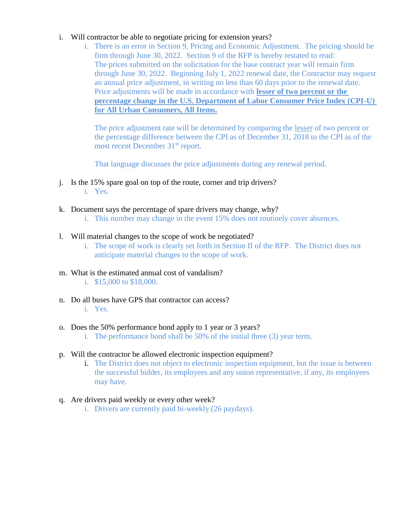## i. Will contractor be able to negotiate pricing for extension years?

i. There is an error in Section 9, Pricing and Economic Adjustment. The pricing should be firm through June 30, 2022. Section 9 of the RFP is hereby restated to read: The prices submitted on the solicitation for the base contract year will remain firm through June 30, 2022. Beginning July 1, 2022 renewal date, the Contractor may request an annual price adjustment, in writing no less than 60 days prior to the renewal date. Price adjustments will be made in accordance with **lesser of two percent or the percentage change in the U.S. Department of Labor Consumer Price Index (CPI-U) for All Urban Consumers, All Items.**

The price adjustment rate will be determined by comparing the lesser of two percent or the percentage difference between the CPI as of December 31, 2018 to the CPI as of the most recent December 31st report.

That language discusses the price adjustments during any renewal period.

- j. Is the 15% spare goal on top of the route, corner and trip drivers? i. Yes.
- k. Document says the percentage of spare drivers may change, why?
	- i. This number may change in the event 15% does not routinely cover absences.
- l. Will material changes to the scope of work be negotiated?
	- i. The scope of work is clearly set forth in Section II of the RFP. The District does not anticipate material changes to the scope of work.
- m. What is the estimated annual cost of vandalism?
	- i. \$15,000 to \$18,000.
- n. Do all buses have GPS that contractor can access? i. Yes.
- o. Does the 50% performance bond apply to 1 year or 3 years?
	- i. The performance bond shall be 50% of the initial three (3) year term.
- p. Will the contractor be allowed electronic inspection equipment?
	- i. The District does not object to electronic inspection equipment, but the issue is between the successful bidder, its employees and any union representative, if any, its employees may have.
- q. Are drivers paid weekly or every other week?
	- i. Drivers are currently paid bi-weekly (26 paydays).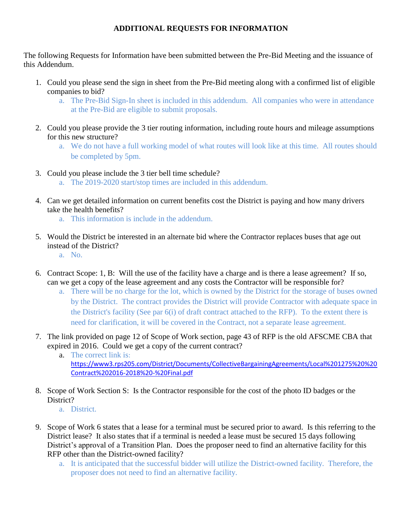## **ADDITIONAL REQUESTS FOR INFORMATION**

The following Requests for Information have been submitted between the Pre-Bid Meeting and the issuance of this Addendum.

- 1. Could you please send the sign in sheet from the Pre-Bid meeting along with a confirmed list of eligible companies to bid?
	- a. The Pre-Bid Sign-In sheet is included in this addendum. All companies who were in attendance at the Pre-Bid are eligible to submit proposals.
- 2. Could you please provide the 3 tier routing information, including route hours and mileage assumptions for this new structure?
	- a. We do not have a full working model of what routes will look like at this time. All routes should be completed by 5pm.
- 3. Could you please include the 3 tier bell time schedule?
	- a. The 2019-2020 start/stop times are included in this addendum.
- 4. Can we get detailed information on current benefits cost the District is paying and how many drivers take the health benefits?
	- a. This information is include in the addendum.
- 5. Would the District be interested in an alternate bid where the Contractor replaces buses that age out instead of the District?
	- a. No.
- 6. Contract Scope: 1, B: Will the use of the facility have a charge and is there a lease agreement? If so, can we get a copy of the lease agreement and any costs the Contractor will be responsible for?
	- a. There will be no charge for the lot, which is owned by the District for the storage of buses owned by the District. The contract provides the District will provide Contractor with adequate space in the District's facility (See par 6(i) of draft contract attached to the RFP). To the extent there is need for clarification, it will be covered in the Contract, not a separate lease agreement.
- 7. The link provided on page 12 of Scope of Work section, page 43 of RFP is the old AFSCME CBA that expired in 2016. Could we get a copy of the current contract?
	- a. The correct link is: [https://www3.rps205.com/District/Documents/CollectiveBargainingAgreements/Local%201275%20%20](https://www3.rps205.com/District/Documents/CollectiveBargainingAgreements/Local%201275%20%20Contract%202016-2018%20-%20Final.pdf) [Contract%202016-2018%20-%20Final.pdf](https://www3.rps205.com/District/Documents/CollectiveBargainingAgreements/Local%201275%20%20Contract%202016-2018%20-%20Final.pdf)
- 8. Scope of Work Section S: Is the Contractor responsible for the cost of the photo ID badges or the District?
	- a. District.
- 9. Scope of Work 6 states that a lease for a terminal must be secured prior to award. Is this referring to the District lease? It also states that if a terminal is needed a lease must be secured 15 days following District's approval of a Transition Plan. Does the proposer need to find an alternative facility for this RFP other than the District-owned facility?
	- a. It is anticipated that the successful bidder will utilize the District-owned facility. Therefore, the proposer does not need to find an alternative facility.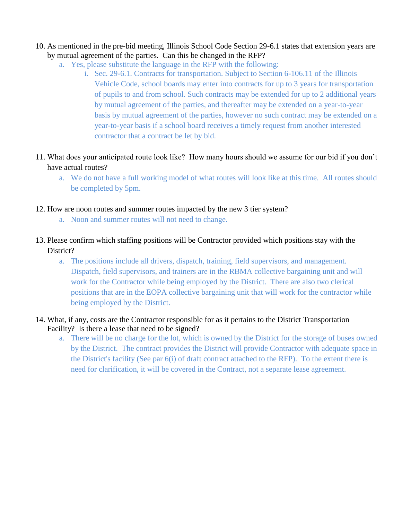- 10. As mentioned in the pre-bid meeting, Illinois School Code Section 29-6.1 states that extension years are by mutual agreement of the parties. Can this be changed in the RFP?
	- a. Yes, please substitute the language in the RFP with the following:
		- i. Sec. 29-6.1. Contracts for transportation. Subject to Section 6-106.11 of the Illinois Vehicle Code, school boards may enter into contracts for up to 3 years for transportation of pupils to and from school. Such contracts may be extended for up to 2 additional years by mutual agreement of the parties, and thereafter may be extended on a year-to-year basis by mutual agreement of the parties, however no such contract may be extended on a year-to-year basis if a school board receives a timely request from another interested contractor that a contract be let by bid.
- 11. What does your anticipated route look like? How many hours should we assume for our bid if you don't have actual routes?
	- a. We do not have a full working model of what routes will look like at this time. All routes should be completed by 5pm.
- 12. How are noon routes and summer routes impacted by the new 3 tier system?
	- a. Noon and summer routes will not need to change.
- 13. Please confirm which staffing positions will be Contractor provided which positions stay with the District?
	- a. The positions include all drivers, dispatch, training, field supervisors, and management. Dispatch, field supervisors, and trainers are in the RBMA collective bargaining unit and will work for the Contractor while being employed by the District. There are also two clerical positions that are in the EOPA collective bargaining unit that will work for the contractor while being employed by the District.
- 14. What, if any, costs are the Contractor responsible for as it pertains to the District Transportation Facility? Is there a lease that need to be signed?
	- a. There will be no charge for the lot, which is owned by the District for the storage of buses owned by the District. The contract provides the District will provide Contractor with adequate space in the District's facility (See par 6(i) of draft contract attached to the RFP). To the extent there is need for clarification, it will be covered in the Contract, not a separate lease agreement.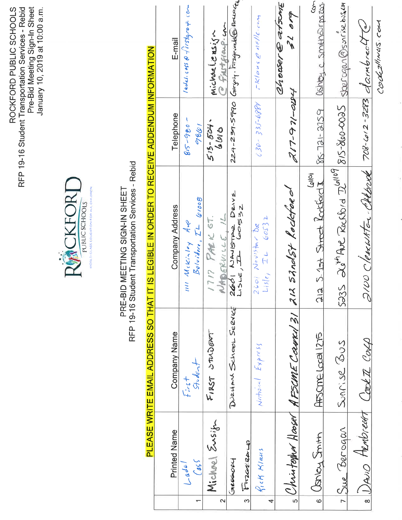ROCKFORD PUBLIC SCHOOLS<br>RFP 19-16 Student Transportation Services - Rebid<br>Pre-Bid Meeting Sign-In Sheet<br>January 10, 2019 at 10:00 a.m.



## PRE-BID MEETING SIGN-IN SHEET<br>RFP 19-16 Student Transportation Services - Rebid

# PLEASE WRITE EMAIL ADDRESS SO THAT IT IS LEGIBLE IN ORDER TO RECEIVE ADDENDUM INFORMATION

|                     |                              |                                        | יוס ויי של המשפט בין של הפטוס המשפט המשפט ה                                                           |                     |                                                                          |
|---------------------|------------------------------|----------------------------------------|-------------------------------------------------------------------------------------------------------|---------------------|--------------------------------------------------------------------------|
|                     |                              |                                        |                                                                                                       |                     |                                                                          |
|                     | <b>Printed Name</b>          | <b>Company Name</b>                    | <b>Company Address</b>                                                                                | Telephone           | E-mail                                                                   |
|                     | $\log a/$                    | $f_{1/5} +$                            | mi Mikinley Are                                                                                       | $815 - 980 -$       | ladd:cost@1/left@q@4.cont                                                |
|                     | $\int a\zeta \zeta$          | Student                                | $\mathcal{B}$ olvidore, $I^{\perp}$ (vido $\theta$                                                    | 7861                |                                                                          |
|                     | Michael Eusin                | FIRST STUDENT                          | 1717 PARK ST.                                                                                         | $515 - 504$         | Michaelensign                                                            |
| 2                   |                              |                                        | NABERWICE, 1L                                                                                         | 6.010               | @ Funt fraup com                                                         |
|                     | GREGORY                      | DURHAM SCHOOL SERVE                    | $266$   NAUSTRE DRIVE                                                                                 |                     | $224-239-5990$ (surgety- $\overline{km}$ gevalles melled                 |
| S                   | Firzozilane                  |                                        |                                                                                                       |                     |                                                                          |
| 4                   | fick Klaus                   | $N$ ational $E_{XY}$ press             | $Lis e_i$ $\bar{z}$ $\bar{e}$ $\bar{e}$ $\bar{e}$ $\bar{e}$ $\bar{z}$ $\bar{z}$<br>$2601$ Navistar DR | $6.30 - 335 - 6884$ | CKlaus @ nelle.com                                                       |
|                     |                              |                                        |                                                                                                       |                     | Chooser @ atsont                                                         |
| ဖာ                  |                              | Christophor Hooser AFSCME Corver 31 21 | 12 Sandst Rockford                                                                                    | $71 - 91 - 02 + 4$  | 21019                                                                    |
| O                   | Jancy Stritt                 | HIS CINE Local 1215                    | 212 S. 1st Street Rockford I<br>Q <sub>1</sub>  Q <sub>1</sub>                                        |                     | $\overline{\mathcal{S}}$<br>$86 - 721 - 2159$ $(86184, 0.5014700103203)$ |
|                     | $7.5$ we Berogan             | Sunise 3005                            | 5235 26th Ave Rockbrd 261109 815-860-0025 Spercgan @sonrise busem                                     |                     |                                                                          |
| $\overline{\infty}$ | DAVIO Hembreast Cooker Conso |                                        | 2100 Clearwater Altond 708-612-3283 dambredte                                                         |                     |                                                                          |
|                     |                              |                                        |                                                                                                       |                     | Cookallines com                                                          |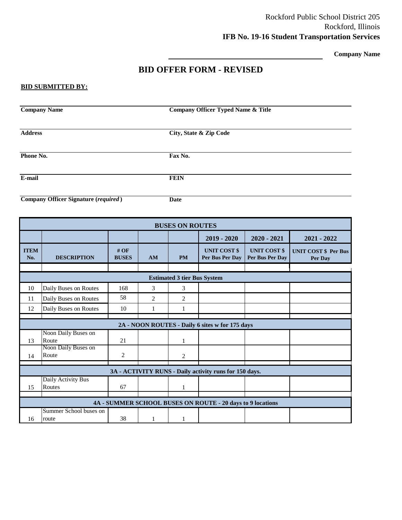**Company Name**

## **BID OFFER FORM - REVISED**

### **BID SUBMITTED BY:**

|                                    | <b>Company Name</b><br><b>Company Officer Typed Name &amp; Title</b> |                     |                |                |                                                            |                                        |                                        |  |  |  |
|------------------------------------|----------------------------------------------------------------------|---------------------|----------------|----------------|------------------------------------------------------------|----------------------------------------|----------------------------------------|--|--|--|
| <b>Address</b>                     |                                                                      |                     |                |                | City, State & Zip Code                                     |                                        |                                        |  |  |  |
| Phone No.                          |                                                                      |                     |                | Fax No.        |                                                            |                                        |                                        |  |  |  |
| E-mail                             |                                                                      |                     |                | <b>FEIN</b>    |                                                            |                                        |                                        |  |  |  |
|                                    | <b>Company Officer Signature (required)</b>                          |                     |                | <b>Date</b>    |                                                            |                                        |                                        |  |  |  |
| <b>BUSES ON ROUTES</b>             |                                                                      |                     |                |                |                                                            |                                        |                                        |  |  |  |
|                                    |                                                                      |                     |                |                | $2019 - 2020$                                              | $2020 - 2021$                          | 2021 - 2022                            |  |  |  |
| <b>ITEM</b><br>No.                 | <b>DESCRIPTION</b>                                                   | #OF<br><b>BUSES</b> | AM             | <b>PM</b>      | <b>UNIT COST \$</b><br>Per Bus Per Day                     | <b>UNIT COST \$</b><br>Per Bus Per Day | <b>UNIT COST \$ Per Bus</b><br>Per Day |  |  |  |
| <b>Estimated 3 tier Bus System</b> |                                                                      |                     |                |                |                                                            |                                        |                                        |  |  |  |
| 10                                 | Daily Buses on Routes                                                | 168                 | 3              | 3              |                                                            |                                        |                                        |  |  |  |
| 11                                 | Daily Buses on Routes                                                | 58                  | $\overline{2}$ | $\overline{2}$ |                                                            |                                        |                                        |  |  |  |
| 12                                 | Daily Buses on Routes                                                | 10                  | $\mathbf{1}$   | $\mathbf{1}$   |                                                            |                                        |                                        |  |  |  |
|                                    |                                                                      |                     |                |                | 2A - NOON ROUTES - Daily 6 sites w for 175 days            |                                        |                                        |  |  |  |
| 13                                 | Noon Daily Buses on<br>Route                                         | 21                  |                | $\mathbf{1}$   |                                                            |                                        |                                        |  |  |  |
| 14                                 | Noon Daily Buses on<br>Route                                         | $\mathbf{2}$        |                | $\overline{2}$ |                                                            |                                        |                                        |  |  |  |
|                                    |                                                                      |                     |                |                | 3A - ACTIVITY RUNS - Daily activity runs for 150 days.     |                                        |                                        |  |  |  |
| 15                                 | Daily Activity Bus<br>Routes                                         | 67                  |                | $\mathbf{1}$   |                                                            |                                        |                                        |  |  |  |
|                                    |                                                                      |                     |                |                | 4A - SUMMER SCHOOL BUSES ON ROUTE - 20 days to 9 locations |                                        |                                        |  |  |  |
| 16                                 | Summer School buses on<br>route                                      | 38                  | 1              | 1              |                                                            |                                        |                                        |  |  |  |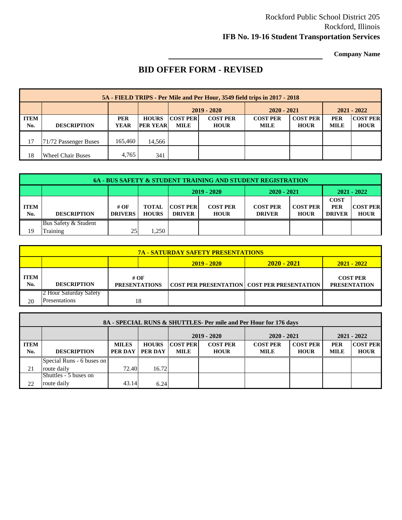## Rockford Public School District 205 Rockford, Illinois **IFB No. 19-16 Student Transportation Services**

**Company Name**

## **BID OFFER FORM - REVISED**

|                    | 5A - FIELD TRIPS - Per Mile and Per Hour, 3549 field trips in 2017 - 2018 |                           |                                 |                                |                                |                                |                                |                           |                                |  |  |  |
|--------------------|---------------------------------------------------------------------------|---------------------------|---------------------------------|--------------------------------|--------------------------------|--------------------------------|--------------------------------|---------------------------|--------------------------------|--|--|--|
|                    |                                                                           |                           |                                 | $2019 - 2020$                  |                                | $2020 - 2021$                  |                                |                           | $2021 - 2022$                  |  |  |  |
| <b>ITEM</b><br>No. | <b>DESCRIPTION</b>                                                        | <b>PER</b><br><b>YEAR</b> | <b>HOURS</b><br><b>PER YEAR</b> | <b>COST PER</b><br><b>MILE</b> | <b>COST PER</b><br><b>HOUR</b> | <b>COST PER</b><br><b>MILE</b> | <b>COST PER</b><br><b>HOUR</b> | <b>PER</b><br><b>MILE</b> | <b>COST PER</b><br><b>HOUR</b> |  |  |  |
|                    |                                                                           |                           |                                 |                                |                                |                                |                                |                           |                                |  |  |  |
| 17                 | 71/72 Passenger Buses                                                     | 165,460                   | 14.566                          |                                |                                |                                |                                |                           |                                |  |  |  |
| 18                 | <b>Wheel Chair Buses</b>                                                  | 4.765                     | 341                             |                                |                                |                                |                                |                           |                                |  |  |  |

|                    | <b>6A - BUS SAFETY &amp; STUDENT TRAINING AND STUDENT REGISTRATION</b> |                        |                              |                                  |                                |                                  |                                |                                            |                                |  |  |
|--------------------|------------------------------------------------------------------------|------------------------|------------------------------|----------------------------------|--------------------------------|----------------------------------|--------------------------------|--------------------------------------------|--------------------------------|--|--|
|                    |                                                                        |                        |                              | $2020 - 2021$<br>$2019 - 2020$   |                                |                                  |                                | $2021 - 2022$                              |                                |  |  |
| <b>ITEM</b><br>No. | <b>DESCRIPTION</b>                                                     | # OF<br><b>DRIVERS</b> | <b>TOTAL</b><br><b>HOURS</b> | <b>COST PER</b><br><b>DRIVER</b> | <b>COST PER</b><br><b>HOUR</b> | <b>COST PER</b><br><b>DRIVER</b> | <b>COST PER</b><br><b>HOUR</b> | <b>COST</b><br><b>PER</b><br><b>DRIVER</b> | <b>COST PER</b><br><b>HOUR</b> |  |  |
| 19                 | Bus Safety & Student<br>Training                                       | 25                     | .250                         |                                  |                                |                                  |                                |                                            |                                |  |  |

|             | <b>7A - SATURDAY SAFETY PRESENTATIONS</b> |                              |                    |                                                      |                                        |  |  |  |  |  |  |
|-------------|-------------------------------------------|------------------------------|--------------------|------------------------------------------------------|----------------------------------------|--|--|--|--|--|--|
|             |                                           |                              | <b>2019 - 2020</b> | $2020 - 2021$                                        | 2021 - 2022                            |  |  |  |  |  |  |
| ITEM<br>No. | <b>DESCRIPTION</b>                        | # OF<br><b>PRESENTATIONS</b> |                    | <b>COST PER PRESENTATION   COST PER PRESENTATION</b> | <b>COST PER</b><br><b>PRESENTATION</b> |  |  |  |  |  |  |
|             | 2 Hour Saturday Safety                    |                              |                    |                                                      |                                        |  |  |  |  |  |  |
| 20          | <b>Presentations</b>                      | 18                           |                    |                                                      |                                        |  |  |  |  |  |  |

|                    | 8A - SPECIAL RUNS & SHUTTLES- Per mile and Per Hour for 176 days |                                |                         |                                |                                |                                |                                |                           |                                |  |  |  |
|--------------------|------------------------------------------------------------------|--------------------------------|-------------------------|--------------------------------|--------------------------------|--------------------------------|--------------------------------|---------------------------|--------------------------------|--|--|--|
|                    |                                                                  |                                |                         |                                | $2019 - 2020$                  | $2020 - 2021$                  |                                |                           | $2021 - 2022$                  |  |  |  |
| <b>ITEM</b><br>No. | <b>DESCRIPTION</b>                                               | <b>MILES</b><br><b>PER DAY</b> | <b>HOURS</b><br>PER DAY | <b>COST PER</b><br><b>MILE</b> | <b>COST PER</b><br><b>HOUR</b> | <b>COST PER</b><br><b>MILE</b> | <b>COST PER</b><br><b>HOUR</b> | <b>PER</b><br><b>MILE</b> | <b>COST PER</b><br><b>HOUR</b> |  |  |  |
|                    | Special Runs - 6 buses on                                        |                                |                         |                                |                                |                                |                                |                           |                                |  |  |  |
| 21                 | route daily                                                      | 72.40                          | 16.72                   |                                |                                |                                |                                |                           |                                |  |  |  |
|                    | Shuttles - 5 buses on                                            |                                |                         |                                |                                |                                |                                |                           |                                |  |  |  |
| 22                 | route daily                                                      | 43.14                          | 6.24                    |                                |                                |                                |                                |                           |                                |  |  |  |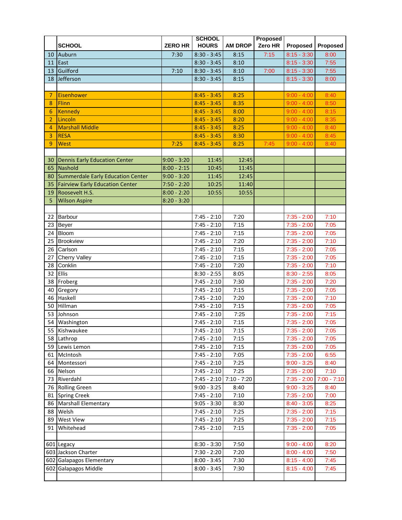|                |                                        |                | <b>SCHOOL</b> |                         | <b>Proposed</b> |               |               |
|----------------|----------------------------------------|----------------|---------------|-------------------------|-----------------|---------------|---------------|
|                | <b>SCHOOL</b>                          | <b>ZERO HR</b> | <b>HOURS</b>  | <b>AM DROP</b>          | Zero HR         | Proposed      | Proposed      |
| 10             | Auburn                                 | 7:30           | $8:30 - 3:45$ | 8:15                    | 7:15            | $8:15 - 3:30$ | 8:00          |
| 11             | East                                   |                | $8:30 - 3:45$ | 8:10                    |                 | $8:15 - 3:30$ | 7:55          |
| 13             | Guilford                               | 7:10           | $8:30 - 3:45$ | 8:10                    | 7:00            | $8:15 - 3:30$ | 7:55          |
| 18             | Jefferson                              |                | $8:30 - 3:45$ | 8:15                    |                 | $8:15 - 3:30$ | 8:00          |
|                |                                        |                |               |                         |                 |               |               |
| 7              | Eisenhower                             |                | $8:45 - 3:45$ | 8:25                    |                 | $9:00 - 4:00$ | 8:40          |
| 8              | Flinn                                  |                | $8:45 - 3:45$ | 8:35                    |                 | $9:00 - 4:00$ | 8:50          |
| 6              | Kennedy                                |                | $8:45 - 3:45$ | 8:00                    |                 | $9:00 - 4:00$ | 8:15          |
| $\overline{2}$ | Lincoln                                |                | $8:45 - 3:45$ | 8:20                    |                 | $9:00 - 4:00$ | 8:35          |
| $\overline{4}$ | <b>Marshall Middle</b>                 |                | $8:45 - 3:45$ | 8:25                    |                 | $9:00 - 4:00$ | 8:40          |
| 3              | <b>RESA</b>                            |                | $8:45 - 3:45$ | 8:30                    |                 | $9:00 - 4:00$ | 8:45          |
| 9              | West                                   | 7:25           | $8:45 - 3:45$ | 8:25                    | 7:45            | $9:00 - 4:00$ | 8:40          |
|                |                                        |                |               |                         |                 |               |               |
| 30             | Dennis Early Education Center          | $9:00 - 3:20$  | 11:45         | 12:45                   |                 |               |               |
| 65             | Nashold                                | $8:00 - 2:15$  | 10:45         | 11:45                   |                 |               |               |
| 80             | Summerdale Early Education Center      | $9:00 - 3:20$  | 11:45         | 12:45                   |                 |               |               |
| 35             | <b>Fairview Early Education Center</b> | $7:50 - 2:20$  | 10:25         | 11:40                   |                 |               |               |
| 19             | Roosevelt H.S.                         | $8:00 - 2:20$  | 10:55         | 10:55                   |                 |               |               |
| 5              | <b>Wilson Aspire</b>                   | $8:20 - 3:20$  |               |                         |                 |               |               |
|                |                                        |                |               |                         |                 |               |               |
| 22             | Barbour                                |                | $7:45 - 2:10$ | 7:20                    |                 | $7:35 - 2:00$ | 7:10          |
| 23             | <b>Beyer</b>                           |                | $7:45 - 2:10$ | 7:15                    |                 | $7:35 - 2:00$ | 7:05          |
| 24             | Bloom                                  |                | $7:45 - 2:10$ | 7:15                    |                 | $7:35 - 2:00$ | 7:05          |
| 25             | <b>Brookview</b>                       |                | $7:45 - 2:10$ | 7:20                    |                 | $7:35 - 2:00$ | 7:10          |
| 26             | Carlson                                |                | $7:45 - 2:10$ | 7:15                    |                 | $7:35 - 2:00$ | 7:05          |
| 27             | <b>Cherry Valley</b>                   |                | $7:45 - 2:10$ | 7:15                    |                 | $7:35 - 2:00$ | 7:05          |
| 28             | Conklin                                |                | $7:45 - 2:10$ | 7:20                    |                 | $7:35 - 2:00$ | 7:10          |
| 32             | <b>Ellis</b>                           |                | $8:30 - 2:55$ | 8:05                    |                 | $8:30 - 2:55$ | 8:05          |
|                | 38 Froberg                             |                | $7:45 - 2:10$ | 7:30                    |                 | $7:35 - 2:00$ | 7:20          |
| 40             | Gregory                                |                | $7:45 - 2:10$ | 7:15                    |                 | $7:35 - 2:00$ | 7:05          |
| 46             | Haskell                                |                | $7:45 - 2:10$ | 7:20                    |                 | $7:35 - 2:00$ | 7:10          |
| 50             | Hillman                                |                | $7:45 - 2:10$ | 7:15                    |                 | $7:35 - 2:00$ | 7:05          |
| 53             | Johnson                                |                | $7:45 - 2:10$ | 7:25                    |                 | $7:35 - 2:00$ | 7:15          |
|                | 54 Washington                          |                | $7:45 - 2:10$ | 7:15                    |                 | $7:35 - 2:00$ | 7:05          |
|                | 55 Kishwaukee                          |                | $7:45 - 2:10$ | 7:15                    |                 | $7:35 - 2:00$ | 7:05          |
|                | 58 Lathrop                             |                | $7:45 - 2:10$ | 7:15                    |                 | $7:35 - 2:00$ | 7:05          |
|                | 59 Lewis Lemon                         |                | $7:45 - 2:10$ | 7:15                    |                 | $7:35 - 2:00$ | 7:05          |
|                | 61 McIntosh                            |                | $7:45 - 2:10$ | 7:05                    |                 | $7:35 - 2:00$ | 6:55          |
|                | 64 Montessori                          |                | $7:45 - 2:10$ | 7:25                    |                 | $9:00 - 3:25$ | 8:40          |
|                | 66 Nelson                              |                | $7:45 - 2:10$ | 7:25                    |                 | $7:35 - 2:00$ | 7:10          |
|                | 73 Riverdahl                           |                |               | 7:45 - 2:10 7:10 - 7:20 |                 | $7:35 - 2:00$ | $7:00 - 7:10$ |
|                | 76 Rolling Green                       |                | $9:00 - 3:25$ | 8:40                    |                 | $9:00 - 3:25$ | 8:40          |
|                | 81 Spring Creek                        |                | $7:45 - 2:10$ | 7:10                    |                 | $7:35 - 2:00$ | 7:00          |
|                | 86 Marshall Elementary                 |                | $9:05 - 3:30$ | 8:30                    |                 | $8:40 - 3:05$ | 8:25          |
| 88             | Welsh                                  |                | $7:45 - 2:10$ | 7:25                    |                 | $7:35 - 2:00$ | 7:15          |
|                | 89 West View                           |                | $7:45 - 2:10$ | 7:25                    |                 | $7:35 - 2:00$ | 7:15          |
| 91             | Whitehead                              |                | $7:45 - 2:10$ | 7:15                    |                 | $7:35 - 2:00$ | 7:05          |
|                |                                        |                |               |                         |                 |               |               |
|                | 601 Legacy                             |                | $8:30 - 3:30$ | 7:50                    |                 | $9:00 - 4:00$ | 8:20          |
|                | 603 Jackson Charter                    |                | $7:30 - 2:20$ | 7:20                    |                 | $8:00 - 4:00$ | 7:50          |
|                | 602 Galapagos Elementary               |                | $8:00 - 3:45$ | 7:30                    |                 | $8:15 - 4:00$ | 7:45          |
|                | 602 Galapagos Middle                   |                | $8:00 - 3:45$ | 7:30                    |                 | $8:15 - 4:00$ | 7:45          |
|                |                                        |                |               |                         |                 |               |               |
|                |                                        |                |               |                         |                 |               |               |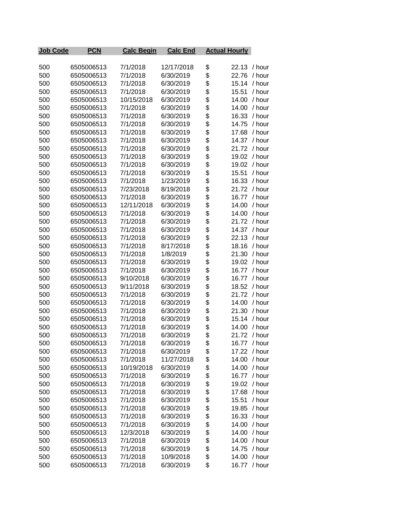| <b>Job Code</b> | <b>PCN</b> | <b>Calc Begin</b> | <b>Calc End</b> | <b>Actual Hourly</b> |              |
|-----------------|------------|-------------------|-----------------|----------------------|--------------|
|                 |            |                   |                 |                      |              |
| 500             | 6505006513 | 7/1/2018          | 12/17/2018      | \$<br>22.13 / hour   |              |
| 500             | 6505006513 | 7/1/2018          | 6/30/2019       | \$<br>22.76          | / hour       |
| 500             | 6505006513 | 7/1/2018          | 6/30/2019       | \$<br>15.14          | / hour       |
| 500             | 6505006513 | 7/1/2018          | 6/30/2019       | \$<br>15.51          | / hour       |
| 500             | 6505006513 | 10/15/2018        | 6/30/2019       | \$<br>14.00          | / hour       |
| 500             | 6505006513 | 7/1/2018          | 6/30/2019       | \$<br>14.00          | / hour       |
| 500             | 6505006513 | 7/1/2018          | 6/30/2019       | \$<br>16.33          | / hour       |
| 500             | 6505006513 | 7/1/2018          | 6/30/2019       | \$<br>14.75          | / hour       |
| 500             | 6505006513 | 7/1/2018          | 6/30/2019       | \$<br>17.68          | / hour       |
| 500             | 6505006513 | 7/1/2018          | 6/30/2019       | \$                   | 14.37 / hour |
| 500             | 6505006513 | 7/1/2018          | 6/30/2019       | \$                   | 21.72 / hour |
| 500             | 6505006513 | 7/1/2018          | 6/30/2019       | \$                   | 19.02 / hour |
| 500             | 6505006513 | 7/1/2018          | 6/30/2019       | \$                   | 19.02 / hour |
| 500             | 6505006513 | 7/1/2018          | 6/30/2019       | \$<br>15.51          | / hour       |
| 500             | 6505006513 | 7/1/2018          | 1/23/2019       | \$<br>16.33          | / hour       |
| 500             | 6505006513 | 7/23/2018         | 8/19/2018       | \$<br>21.72          | / hour       |
| 500             | 6505006513 | 7/1/2018          | 6/30/2019       | \$<br>16.77          | / hour       |
| 500             | 6505006513 | 12/11/2018        | 6/30/2019       | \$<br>14.00          | / hour       |
| 500             | 6505006513 | 7/1/2018          | 6/30/2019       | \$<br>14.00          | / hour       |
| 500             | 6505006513 | 7/1/2018          | 6/30/2019       | \$<br>21.72          | / hour       |
| 500             | 6505006513 | 7/1/2018          | 6/30/2019       | \$<br>14.37          | / hour       |
| 500             | 6505006513 | 7/1/2018          | 6/30/2019       | \$<br>22.13          | / hour       |
| 500             | 6505006513 | 7/1/2018          | 8/17/2018       | \$<br>18.16          | / hour       |
| 500             | 6505006513 | 7/1/2018          | 1/8/2019        | \$<br>21.30          | / hour       |
| 500             | 6505006513 | 7/1/2018          | 6/30/2019       | \$<br>19.02          | / hour       |
| 500             | 6505006513 | 7/1/2018          | 6/30/2019       | \$<br>16.77          | / hour       |
| 500             | 6505006513 | 9/10/2018         | 6/30/2019       | \$<br>16.77          | / hour       |
| 500             | 6505006513 | 9/11/2018         | 6/30/2019       | \$                   | 18.52 / hour |
| 500             | 6505006513 | 7/1/2018          | 6/30/2019       | \$                   | 21.72 / hour |
| 500             | 6505006513 | 7/1/2018          | 6/30/2019       | \$<br>14.00          | / hour       |
| 500             | 6505006513 | 7/1/2018          | 6/30/2019       | \$<br>21.30          | / hour       |
| 500             | 6505006513 | 7/1/2018          | 6/30/2019       | \$<br>15.14          | / hour       |
| 500             | 6505006513 | 7/1/2018          | 6/30/2019       | \$<br>14.00          | / hour       |
| 500             | 6505006513 | 7/1/2018          | 6/30/2019       | \$<br>21.72          | / hour       |
| 500             | 6505006513 | 7/1/2018          | 6/30/2019       | \$<br>16.77          | / hour       |
| 500             | 6505006513 | 7/1/2018          | 6/30/2019       | \$<br>17.22          | / hour       |
| 500             | 6505006513 | 7/1/2018          | 11/27/2018      | \$<br>14.00          | / hour       |
| 500             | 6505006513 | 10/19/2018        | 6/30/2019       | \$<br>14.00          | / hour       |
| 500             | 6505006513 | 7/1/2018          | 6/30/2019       | \$                   | 16.77 / hour |
| 500             | 6505006513 | 7/1/2018          | 6/30/2019       | \$<br>19.02          | / hour       |
| 500             | 6505006513 | 7/1/2018          | 6/30/2019       | \$<br>17.68          | / hour       |
| 500             | 6505006513 | 7/1/2018          | 6/30/2019       | \$<br>15.51          | / hour       |
| 500             | 6505006513 | 7/1/2018          | 6/30/2019       | \$<br>19.85          | / hour       |
| 500             | 6505006513 | 7/1/2018          | 6/30/2019       | \$                   | 16.33 / hour |
| 500             | 6505006513 | 7/1/2018          | 6/30/2019       | \$<br>14.00          | / hour       |
| 500             | 6505006513 | 12/3/2018         | 6/30/2019       | \$<br>14.00          | / hour       |
| 500             | 6505006513 | 7/1/2018          | 6/30/2019       | \$<br>14.00          | / hour       |
| 500             | 6505006513 | 7/1/2018          | 6/30/2019       | \$<br>14.75          | / hour       |
| 500             | 6505006513 | 7/1/2018          | 10/9/2018       | \$<br>14.00          | / hour       |
| 500             | 6505006513 | 7/1/2018          | 6/30/2019       | \$<br>16.77          | / hour       |
|                 |            |                   |                 |                      |              |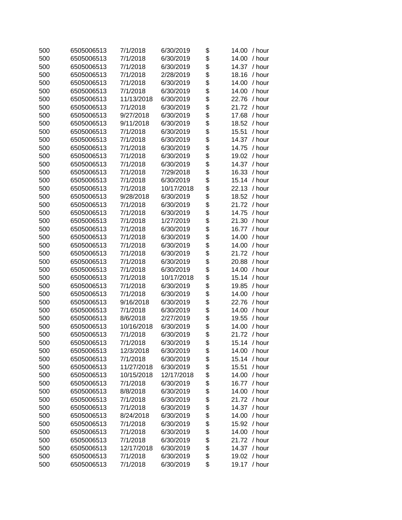| 500 | 6505006513 | 7/1/2018   | 6/30/2019  | \$             | 14.00<br>/ hour |
|-----|------------|------------|------------|----------------|-----------------|
| 500 | 6505006513 | 7/1/2018   | 6/30/2019  | \$             | 14.00<br>/ hour |
| 500 | 6505006513 | 7/1/2018   | 6/30/2019  | \$             | 14.37<br>/ hour |
| 500 | 6505006513 | 7/1/2018   | 2/28/2019  | \$             | 18.16<br>/ hour |
| 500 | 6505006513 | 7/1/2018   | 6/30/2019  | \$             | 14.00<br>/ hour |
| 500 | 6505006513 | 7/1/2018   | 6/30/2019  | \$             | 14.00<br>/ hour |
| 500 | 6505006513 | 11/13/2018 | 6/30/2019  | \$             | 22.76<br>/ hour |
| 500 | 6505006513 | 7/1/2018   | 6/30/2019  | \$             | 21.72<br>/ hour |
| 500 | 6505006513 | 9/27/2018  | 6/30/2019  | \$             | 17.68<br>/ hour |
| 500 | 6505006513 | 9/11/2018  | 6/30/2019  | \$             | 18.52<br>/ hour |
| 500 | 6505006513 | 7/1/2018   | 6/30/2019  | \$             | 15.51<br>/ hour |
| 500 | 6505006513 | 7/1/2018   | 6/30/2019  | \$             | 14.37<br>/ hour |
| 500 | 6505006513 | 7/1/2018   | 6/30/2019  | \$             | 14.75<br>/ hour |
| 500 | 6505006513 | 7/1/2018   | 6/30/2019  | \$             | 19.02<br>/ hour |
| 500 | 6505006513 | 7/1/2018   | 6/30/2019  | \$             | 14.37<br>/ hour |
| 500 | 6505006513 | 7/1/2018   | 7/29/2018  | \$             | 16.33<br>/ hour |
| 500 | 6505006513 | 7/1/2018   | 6/30/2019  | \$             | 15.14<br>/ hour |
| 500 | 6505006513 | 7/1/2018   | 10/17/2018 | \$             | 22.13<br>/ hour |
| 500 | 6505006513 | 9/28/2018  | 6/30/2019  | \$             | 18.52<br>/ hour |
| 500 | 6505006513 | 7/1/2018   | 6/30/2019  | \$             | 21.72<br>/ hour |
| 500 | 6505006513 | 7/1/2018   | 6/30/2019  | \$             | 14.75<br>/ hour |
| 500 | 6505006513 | 7/1/2018   | 1/27/2019  | \$             | 21.30<br>/ hour |
| 500 | 6505006513 | 7/1/2018   | 6/30/2019  | \$             | 16.77<br>/ hour |
| 500 | 6505006513 | 7/1/2018   | 6/30/2019  | \$             | 14.00<br>/ hour |
| 500 | 6505006513 | 7/1/2018   | 6/30/2019  | \$             | 14.00<br>/ hour |
| 500 | 6505006513 | 7/1/2018   | 6/30/2019  | \$             | 21.72<br>/ hour |
| 500 | 6505006513 | 7/1/2018   | 6/30/2019  | \$             | 20.88<br>/ hour |
| 500 | 6505006513 | 7/1/2018   | 6/30/2019  | \$             | 14.00<br>/ hour |
| 500 | 6505006513 | 7/1/2018   | 10/17/2018 | \$             | 15.14<br>/ hour |
| 500 | 6505006513 | 7/1/2018   | 6/30/2019  | \$             | 19.85<br>/ hour |
| 500 | 6505006513 | 7/1/2018   | 6/30/2019  | \$             | 14.00<br>/ hour |
| 500 | 6505006513 | 9/16/2018  | 6/30/2019  | \$             | 22.76<br>/ hour |
| 500 | 6505006513 | 7/1/2018   | 6/30/2019  | \$             | 14.00<br>/ hour |
| 500 | 6505006513 | 8/6/2018   | 2/27/2019  | \$             | 19.55<br>/ hour |
| 500 | 6505006513 | 10/16/2018 | 6/30/2019  | \$             | 14.00<br>/ hour |
| 500 | 6505006513 | 7/1/2018   | 6/30/2019  | \$             | 21.72 / hour    |
| 500 | 6505006513 | 7/1/2018   | 6/30/2019  | \$             | 15.14 / hour    |
| 500 | 6505006513 | 12/3/2018  | 6/30/2019  | \$             | / hour<br>14.00 |
| 500 | 6505006513 | 7/1/2018   | 6/30/2019  |                | 15.14<br>/ hour |
| 500 | 6505006513 | 11/27/2018 | 6/30/2019  | <b>8888888</b> | 15.51<br>/ hour |
| 500 | 6505006513 | 10/15/2018 | 12/17/2018 |                | 14.00<br>/ hour |
| 500 | 6505006513 | 7/1/2018   | 6/30/2019  |                | 16.77<br>/ hour |
| 500 | 6505006513 | 8/8/2018   | 6/30/2019  |                | 14.00<br>/ hour |
| 500 | 6505006513 | 7/1/2018   | 6/30/2019  |                | 21.72<br>/ hour |
| 500 | 6505006513 | 7/1/2018   | 6/30/2019  |                | 14.37<br>/ hour |
| 500 | 6505006513 | 8/24/2018  | 6/30/2019  |                | 14.00<br>/ hour |
| 500 | 6505006513 | 7/1/2018   | 6/30/2019  | \$<br>\$       | 15.92<br>/ hour |
| 500 | 6505006513 | 7/1/2018   | 6/30/2019  | \$             | 14.00<br>/ hour |
| 500 | 6505006513 | 7/1/2018   | 6/30/2019  | \$             | 21.72<br>/ hour |
| 500 | 6505006513 | 12/17/2018 | 6/30/2019  | \$             | 14.37<br>/ hour |
| 500 | 6505006513 | 7/1/2018   | 6/30/2019  | \$             | / hour<br>19.02 |
| 500 | 6505006513 | 7/1/2018   | 6/30/2019  | \$             | 19.17<br>/ hour |
|     |            |            |            |                |                 |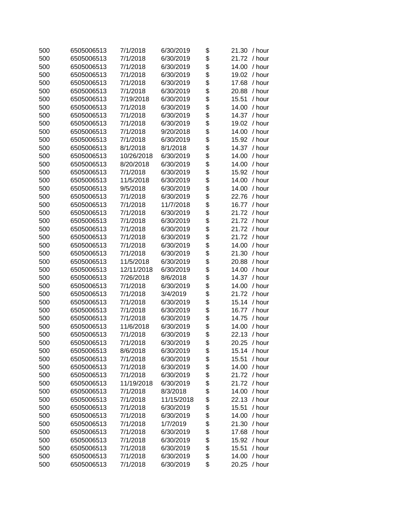| 500 | 6505006513 | 7/1/2018   | 6/30/2019  | \$         | 21.30 / hour    |
|-----|------------|------------|------------|------------|-----------------|
| 500 | 6505006513 | 7/1/2018   | 6/30/2019  | \$         | 21.72 / hour    |
| 500 | 6505006513 | 7/1/2018   | 6/30/2019  | \$         | 14.00<br>/ hour |
| 500 | 6505006513 | 7/1/2018   | 6/30/2019  | \$         | 19.02<br>/ hour |
| 500 | 6505006513 | 7/1/2018   | 6/30/2019  | \$         | 17.68<br>/ hour |
| 500 | 6505006513 | 7/1/2018   | 6/30/2019  | \$         | 20.88<br>/ hour |
| 500 | 6505006513 | 7/19/2018  | 6/30/2019  | \$         | 15.51<br>/ hour |
| 500 | 6505006513 | 7/1/2018   | 6/30/2019  | \$         | 14.00<br>/ hour |
| 500 | 6505006513 | 7/1/2018   | 6/30/2019  | \$         | 14.37<br>/ hour |
| 500 | 6505006513 | 7/1/2018   | 6/30/2019  | \$         | 19.02<br>/ hour |
| 500 | 6505006513 | 7/1/2018   | 9/20/2018  | \$         | 14.00<br>/ hour |
| 500 | 6505006513 | 7/1/2018   | 6/30/2019  | \$         | 15.92<br>/ hour |
| 500 | 6505006513 | 8/1/2018   | 8/1/2018   | \$         | 14.37<br>/ hour |
| 500 | 6505006513 | 10/26/2018 | 6/30/2019  | \$         | 14.00<br>/ hour |
| 500 | 6505006513 | 8/20/2018  | 6/30/2019  | \$         | 14.00<br>/ hour |
| 500 | 6505006513 | 7/1/2018   | 6/30/2019  | \$         | 15.92 / hour    |
| 500 | 6505006513 | 11/5/2018  | 6/30/2019  | \$         | 14.00<br>/ hour |
| 500 | 6505006513 | 9/5/2018   | 6/30/2019  | \$         | 14.00<br>/ hour |
| 500 | 6505006513 | 7/1/2018   | 6/30/2019  | \$         | 22.76<br>/ hour |
| 500 | 6505006513 | 7/1/2018   | 11/7/2018  | \$         | 16.77<br>/ hour |
| 500 | 6505006513 | 7/1/2018   | 6/30/2019  | \$         | 21.72<br>/ hour |
| 500 | 6505006513 | 7/1/2018   | 6/30/2019  | \$         | 21.72<br>/ hour |
| 500 | 6505006513 | 7/1/2018   | 6/30/2019  | \$         | 21.72<br>/ hour |
| 500 | 6505006513 | 7/1/2018   | 6/30/2019  | \$         | 21.72<br>/ hour |
| 500 | 6505006513 | 7/1/2018   | 6/30/2019  | \$         | 14.00<br>/ hour |
| 500 | 6505006513 | 7/1/2018   | 6/30/2019  |            | 21.30<br>/ hour |
| 500 | 6505006513 | 11/5/2018  | 6/30/2019  | \$         | 20.88<br>/ hour |
| 500 | 6505006513 | 12/11/2018 | 6/30/2019  | \$         | 14.00<br>/ hour |
| 500 | 6505006513 | 7/26/2018  | 8/6/2018   | \$         | 14.37<br>/ hour |
| 500 | 6505006513 | 7/1/2018   | 6/30/2019  | \$         | 14.00<br>/ hour |
| 500 | 6505006513 | 7/1/2018   | 3/4/2019   | \$         | 21.72<br>/ hour |
| 500 | 6505006513 | 7/1/2018   | 6/30/2019  | \$         | 15.14<br>/ hour |
| 500 | 6505006513 | 7/1/2018   | 6/30/2019  | \$         | 16.77 / hour    |
| 500 | 6505006513 | 7/1/2018   | 6/30/2019  | \$         | 14.75<br>/ hour |
| 500 | 6505006513 | 11/6/2018  | 6/30/2019  | \$         | 14.00<br>/ hour |
| 500 | 6505006513 | 7/1/2018   | 6/30/2019  | \$         | 22.13 / hour    |
| 500 | 6505006513 | 7/1/2018   | 6/30/2019  | \$         | 20.25 / hour    |
| 500 | 6505006513 | 8/6/2018   | 6/30/2019  | \$         | 15.14<br>/ hour |
| 500 | 6505006513 | 7/1/2018   | 6/30/2019  |            | 15.51<br>/ hour |
| 500 | 6505006513 | 7/1/2018   | 6/30/2019  |            | 14.00<br>/ hour |
| 500 | 6505006513 | 7/1/2018   | 6/30/2019  |            | 21.72<br>/ hour |
| 500 | 6505006513 | 11/19/2018 | 6/30/2019  | \$\$\$\$\$ | 21.72<br>/ hour |
| 500 | 6505006513 | 7/1/2018   | 8/3/2018   |            | 14.00<br>/ hour |
| 500 | 6505006513 | 7/1/2018   | 11/15/2018 | \$         | 22.13<br>/ hour |
| 500 | 6505006513 | 7/1/2018   | 6/30/2019  | \$         | 15.51<br>/ hour |
| 500 | 6505006513 | 7/1/2018   | 6/30/2019  | \$         | 14.00<br>/ hour |
| 500 | 6505006513 | 7/1/2018   | 1/7/2019   | \$         | 21.30<br>/ hour |
| 500 | 6505006513 | 7/1/2018   | 6/30/2019  | \$         | 17.68<br>/ hour |
| 500 | 6505006513 | 7/1/2018   | 6/30/2019  | \$         | 15.92<br>/ hour |
| 500 | 6505006513 | 7/1/2018   | 6/30/2019  | \$         | 15.51<br>/ hour |
| 500 | 6505006513 | 7/1/2018   | 6/30/2019  | \$         | / hour<br>14.00 |
| 500 | 6505006513 | 7/1/2018   | 6/30/2019  | \$         | 20.25<br>/ hour |
|     |            |            |            |            |                 |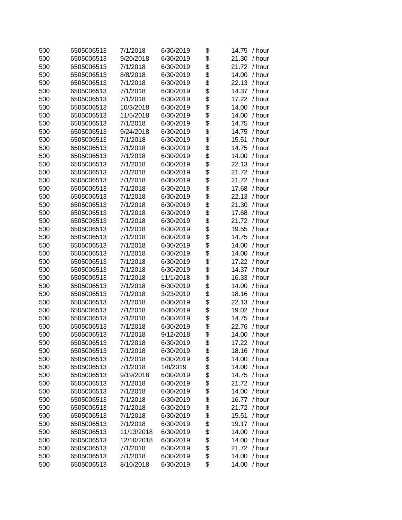| 500 | 6505006513 | 7/1/2018   | 6/30/2019 | \$            | / hour<br>14.75 |
|-----|------------|------------|-----------|---------------|-----------------|
| 500 | 6505006513 | 9/20/2018  | 6/30/2019 | \$            | 21.30<br>/ hour |
| 500 | 6505006513 | 7/1/2018   | 6/30/2019 | \$            | 21.72<br>/ hour |
| 500 | 6505006513 | 8/8/2018   | 6/30/2019 | \$            | 14.00<br>/ hour |
| 500 | 6505006513 | 7/1/2018   | 6/30/2019 | \$            | 22.13<br>/ hour |
| 500 | 6505006513 | 7/1/2018   | 6/30/2019 | \$            | 14.37<br>/ hour |
| 500 | 6505006513 | 7/1/2018   | 6/30/2019 | \$            | 17.22<br>/ hour |
| 500 | 6505006513 | 10/3/2018  | 6/30/2019 | \$            | 14.00<br>/ hour |
| 500 | 6505006513 | 11/5/2018  | 6/30/2019 | \$            | 14.00<br>/ hour |
| 500 | 6505006513 | 7/1/2018   | 6/30/2019 | \$            | 14.75<br>/ hour |
| 500 | 6505006513 | 9/24/2018  | 6/30/2019 | \$            | 14.75<br>/ hour |
| 500 | 6505006513 | 7/1/2018   | 6/30/2019 | \$            | 15.51<br>/ hour |
| 500 | 6505006513 | 7/1/2018   | 6/30/2019 | \$            | 14.75<br>/ hour |
| 500 | 6505006513 | 7/1/2018   | 6/30/2019 | \$            | 14.00<br>/ hour |
| 500 | 6505006513 | 7/1/2018   | 6/30/2019 | \$            | 22.13<br>/ hour |
| 500 | 6505006513 | 7/1/2018   | 6/30/2019 | \$            | 21.72<br>/ hour |
| 500 | 6505006513 | 7/1/2018   | 6/30/2019 | \$            | 21.72<br>/ hour |
| 500 | 6505006513 | 7/1/2018   | 6/30/2019 | \$            | 17.68<br>/ hour |
| 500 | 6505006513 | 7/1/2018   | 6/30/2019 | \$            | 22.13<br>/ hour |
| 500 | 6505006513 | 7/1/2018   | 6/30/2019 | \$            | 21.30<br>/ hour |
| 500 | 6505006513 | 7/1/2018   | 6/30/2019 | \$            | 17.68<br>/ hour |
| 500 | 6505006513 | 7/1/2018   | 6/30/2019 | \$            | 21.72<br>/ hour |
| 500 | 6505006513 | 7/1/2018   | 6/30/2019 | \$            | 19.55<br>/ hour |
| 500 | 6505006513 | 7/1/2018   | 6/30/2019 | \$            | 14.75<br>/ hour |
| 500 | 6505006513 | 7/1/2018   | 6/30/2019 | \$            | 14.00<br>/ hour |
| 500 | 6505006513 | 7/1/2018   | 6/30/2019 |               | 14.00<br>/ hour |
| 500 | 6505006513 | 7/1/2018   | 6/30/2019 | \$<br>\$      | 17.22<br>/ hour |
| 500 | 6505006513 | 7/1/2018   | 6/30/2019 | \$            | 14.37<br>/ hour |
| 500 | 6505006513 | 7/1/2018   | 11/1/2018 | \$            | 16.33<br>/ hour |
| 500 | 6505006513 | 7/1/2018   | 6/30/2019 | \$            | 14.00<br>/ hour |
| 500 | 6505006513 | 7/1/2018   | 3/23/2019 | \$            | 18.16<br>/ hour |
| 500 | 6505006513 | 7/1/2018   | 6/30/2019 | \$            | 22.13<br>/ hour |
| 500 | 6505006513 | 7/1/2018   | 6/30/2019 | \$            | 19.02<br>/ hour |
| 500 | 6505006513 | 7/1/2018   | 6/30/2019 | \$            | 14.75<br>/ hour |
| 500 | 6505006513 | 7/1/2018   | 6/30/2019 | \$            | 22.76<br>/ hour |
| 500 | 6505006513 | 7/1/2018   | 9/12/2018 | \$            | 14.00<br>/ hour |
| 500 | 6505006513 | 7/1/2018   | 6/30/2019 | \$            | 17.22 / hour    |
| 500 | 6505006513 | 7/1/2018   | 6/30/2019 | \$            | 18.16<br>/ hour |
| 500 | 6505006513 | 7/1/2018   | 6/30/2019 |               | 14.00<br>/ hour |
| 500 | 6505006513 | 7/1/2018   | 1/8/2019  | <b>888888</b> | 14.00<br>/ hour |
| 500 | 6505006513 | 9/19/2018  | 6/30/2019 |               | 14.75<br>/ hour |
| 500 | 6505006513 | 7/1/2018   | 6/30/2019 |               | 21.72<br>/ hour |
| 500 | 6505006513 | 7/1/2018   | 6/30/2019 |               | 14.00<br>/ hour |
| 500 | 6505006513 | 7/1/2018   | 6/30/2019 |               | 16.77<br>/ hour |
| 500 | 6505006513 | 7/1/2018   | 6/30/2019 |               | 21.72<br>/ hour |
| 500 | 6505006513 | 7/1/2018   | 6/30/2019 | \$<br>\$      | 15.51<br>/ hour |
| 500 | 6505006513 | 7/1/2018   | 6/30/2019 | \$            | 19.17<br>/ hour |
| 500 | 6505006513 | 11/13/2018 | 6/30/2019 | \$            | 14.00<br>/ hour |
| 500 | 6505006513 | 12/10/2018 | 6/30/2019 |               | 14.00<br>/ hour |
| 500 | 6505006513 | 7/1/2018   | 6/30/2019 | \$<br>\$      | 21.72<br>/ hour |
| 500 | 6505006513 | 7/1/2018   | 6/30/2019 | \$            | / hour<br>14.00 |
|     |            |            |           | \$            |                 |
| 500 | 6505006513 | 8/10/2018  | 6/30/2019 |               | 14.00<br>/ hour |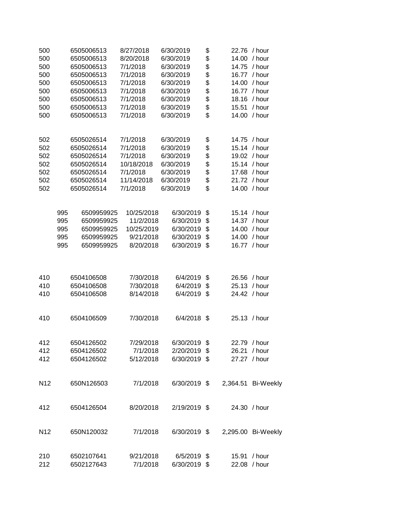| 500<br>500<br>500<br>500<br>500<br>500<br>500<br>500<br>500 |     | 6505006513<br>6505006513<br>6505006513<br>6505006513<br>6505006513<br>6505006513<br>6505006513<br>6505006513<br>6505006513 | 8/27/2018<br>8/20/2018<br>7/1/2018<br>7/1/2018<br>7/1/2018<br>7/1/2018<br>7/1/2018<br>7/1/2018<br>7/1/2018 | 6/30/2019<br>6/30/2019<br>6/30/2019<br>6/30/2019<br>6/30/2019<br>6/30/2019<br>6/30/2019<br>6/30/2019<br>6/30/2019 | \$<br>\$<br>\$<br>\$<br>\$<br>\$<br>\$<br>\$<br>\$ | 22.76<br>14.00<br>14.75<br>14.00<br>15.51<br>14.00 | / hour<br>/ hour<br>/ hour<br>16.77 / hour<br>/ hour<br>16.77 / hour<br>18.16 / hour<br>/ hour<br>/ hour |
|-------------------------------------------------------------|-----|----------------------------------------------------------------------------------------------------------------------------|------------------------------------------------------------------------------------------------------------|-------------------------------------------------------------------------------------------------------------------|----------------------------------------------------|----------------------------------------------------|----------------------------------------------------------------------------------------------------------|
| 502                                                         |     | 6505026514                                                                                                                 | 7/1/2018                                                                                                   | 6/30/2019                                                                                                         | \$                                                 |                                                    | 14.75 / hour                                                                                             |
| 502                                                         |     | 6505026514                                                                                                                 | 7/1/2018                                                                                                   | 6/30/2019                                                                                                         | \$                                                 |                                                    | 15.14 / hour                                                                                             |
| 502                                                         |     | 6505026514                                                                                                                 | 7/1/2018                                                                                                   | 6/30/2019                                                                                                         | \$                                                 |                                                    | 19.02 / hour                                                                                             |
| 502                                                         |     | 6505026514                                                                                                                 | 10/18/2018                                                                                                 | 6/30/2019                                                                                                         | \$                                                 |                                                    | 15.14 / hour                                                                                             |
| 502                                                         |     | 6505026514                                                                                                                 | 7/1/2018                                                                                                   | 6/30/2019                                                                                                         | \$                                                 |                                                    | 17.68 / hour                                                                                             |
| 502                                                         |     | 6505026514                                                                                                                 | 11/14/2018                                                                                                 | 6/30/2019                                                                                                         | \$                                                 |                                                    | 21.72 / hour                                                                                             |
| 502                                                         |     | 6505026514                                                                                                                 | 7/1/2018                                                                                                   | 6/30/2019                                                                                                         | \$                                                 | 14.00                                              | / hour                                                                                                   |
|                                                             | 995 | 6509959925                                                                                                                 | 10/25/2018                                                                                                 | 6/30/2019                                                                                                         | \$                                                 |                                                    | 15.14 / hour                                                                                             |
|                                                             | 995 | 6509959925                                                                                                                 | 11/2/2018                                                                                                  | 6/30/2019                                                                                                         | \$                                                 |                                                    | 14.37 / hour                                                                                             |
|                                                             | 995 | 6509959925                                                                                                                 | 10/25/2019                                                                                                 | 6/30/2019                                                                                                         | \$                                                 |                                                    | 14.00 / hour                                                                                             |
|                                                             | 995 | 6509959925                                                                                                                 | 9/21/2018                                                                                                  | 6/30/2019                                                                                                         | \$                                                 | 14.00                                              | / hour                                                                                                   |
|                                                             | 995 | 6509959925                                                                                                                 | 8/20/2018                                                                                                  | 6/30/2019                                                                                                         | \$                                                 |                                                    | 16.77 / hour                                                                                             |
| 410                                                         |     | 6504106508                                                                                                                 | 7/30/2018                                                                                                  | 6/4/2019                                                                                                          | \$                                                 | 26.56                                              | / hour                                                                                                   |
| 410                                                         |     | 6504106508                                                                                                                 | 7/30/2018                                                                                                  | 6/4/2019                                                                                                          | \$                                                 |                                                    | 25.13 / hour                                                                                             |
| 410                                                         |     | 6504106508                                                                                                                 | 8/14/2018                                                                                                  | 6/4/2019                                                                                                          | \$                                                 |                                                    | 24.42 / hour                                                                                             |
| 410                                                         |     | 6504106509                                                                                                                 | 7/30/2018                                                                                                  | 6/4/2018                                                                                                          | \$                                                 |                                                    | 25.13 / hour                                                                                             |
| 412                                                         |     | 6504126502                                                                                                                 | 7/29/2018                                                                                                  | $6/30/2019$ \$                                                                                                    |                                                    |                                                    | 22.79 / hour                                                                                             |
| 412                                                         |     | 6504126502                                                                                                                 | 7/1/2018                                                                                                   | 2/20/2019 \$                                                                                                      |                                                    |                                                    | 26.21 / hour                                                                                             |
| 412                                                         |     | 6504126502                                                                                                                 | 5/12/2018                                                                                                  | 6/30/2019 \$                                                                                                      |                                                    |                                                    | 27.27 / hour                                                                                             |
| N <sub>12</sub>                                             |     | 650N126503                                                                                                                 | 7/1/2018                                                                                                   | 6/30/2019 \$                                                                                                      |                                                    |                                                    | 2,364.51 Bi-Weekly                                                                                       |
| 412                                                         |     | 6504126504                                                                                                                 | 8/20/2018                                                                                                  | 2/19/2019 \$                                                                                                      |                                                    |                                                    | 24.30 / hour                                                                                             |
| N <sub>12</sub>                                             |     | 650N120032                                                                                                                 | 7/1/2018                                                                                                   |                                                                                                                   |                                                    | 6/30/2019 \$ 2,295.00 Bi-Weekly                    |                                                                                                          |
| 210<br>212                                                  |     | 6502107641<br>6502127643                                                                                                   | 9/21/2018<br>7/1/2018                                                                                      | 6/5/2019 \$<br>6/30/2019 \$                                                                                       |                                                    |                                                    | 15.91 / hour<br>22.08 / hour                                                                             |
|                                                             |     |                                                                                                                            |                                                                                                            |                                                                                                                   |                                                    |                                                    |                                                                                                          |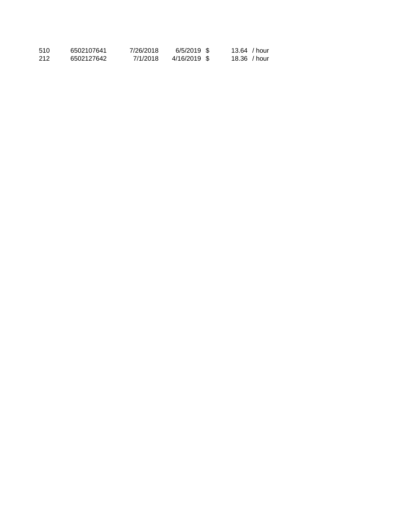| 510 | 6502107641 | 7/26/2018 | 6/5/2019 \$  | $13.64$ / hour |
|-----|------------|-----------|--------------|----------------|
| 212 | 6502127642 | 7/1/2018  | 4/16/2019 \$ | $18.36$ / hour |